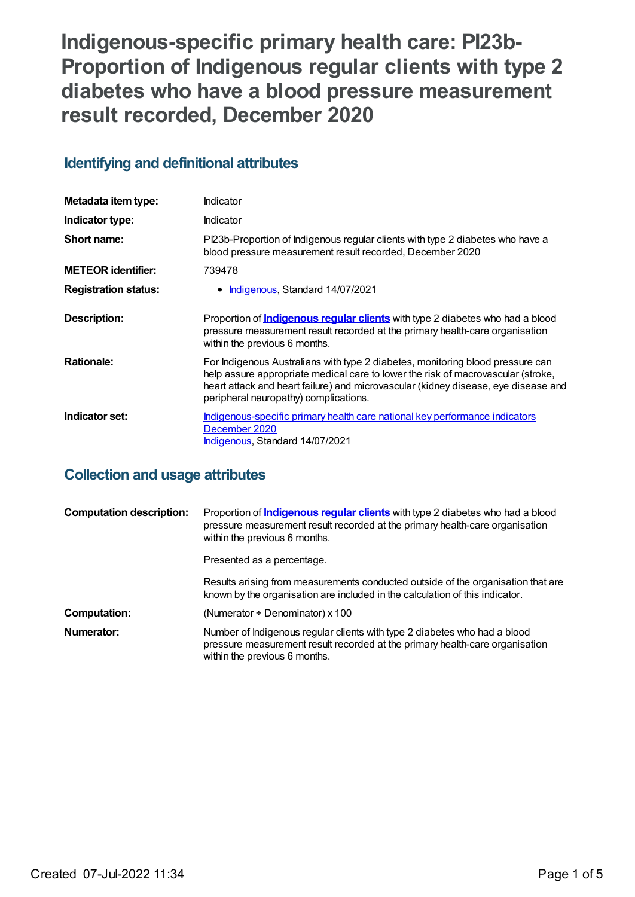**Indigenous-specific primary health care: PI23b-Proportion of Indigenous regular clients with type 2 diabetes who have a blood pressure measurement result recorded, December 2020**

## **Identifying and definitional attributes**

| Metadata item type:         | Indicator                                                                                                                                                                                                                                                                                         |
|-----------------------------|---------------------------------------------------------------------------------------------------------------------------------------------------------------------------------------------------------------------------------------------------------------------------------------------------|
| Indicator type:             | Indicator                                                                                                                                                                                                                                                                                         |
| Short name:                 | Pl23b-Proportion of Indigenous regular clients with type 2 diabetes who have a<br>blood pressure measurement result recorded, December 2020                                                                                                                                                       |
| <b>METEOR</b> identifier:   | 739478                                                                                                                                                                                                                                                                                            |
| <b>Registration status:</b> | Indigenous, Standard 14/07/2021                                                                                                                                                                                                                                                                   |
| <b>Description:</b>         | Proportion of <b>Indigenous regular clients</b> with type 2 diabetes who had a blood<br>pressure measurement result recorded at the primary health-care organisation<br>within the previous 6 months.                                                                                             |
| <b>Rationale:</b>           | For Indigenous Australians with type 2 diabetes, monitoring blood pressure can<br>help assure appropriate medical care to lower the risk of macrovascular (stroke,<br>heart attack and heart failure) and microvascular (kidney disease, eye disease and<br>peripheral neuropathy) complications. |
| Indicator set:              | Indigenous-specific primary health care national key performance indicators<br>December 2020<br>Indigenous, Standard 14/07/2021                                                                                                                                                                   |

## **Collection and usage attributes**

| <b>Computation description:</b> | Proportion of <b>Indigenous regular clients</b> with type 2 diabetes who had a blood<br>pressure measurement result recorded at the primary health-care organisation<br>within the previous 6 months. |
|---------------------------------|-------------------------------------------------------------------------------------------------------------------------------------------------------------------------------------------------------|
|                                 | Presented as a percentage.                                                                                                                                                                            |
|                                 | Results arising from measurements conducted outside of the organisation that are<br>known by the organisation are included in the calculation of this indicator.                                      |
| <b>Computation:</b>             | (Numerator $\div$ Denominator) x 100                                                                                                                                                                  |
| Numerator:                      | Number of Indigenous regular clients with type 2 diabetes who had a blood<br>pressure measurement result recorded at the primary health-care organisation<br>within the previous 6 months.            |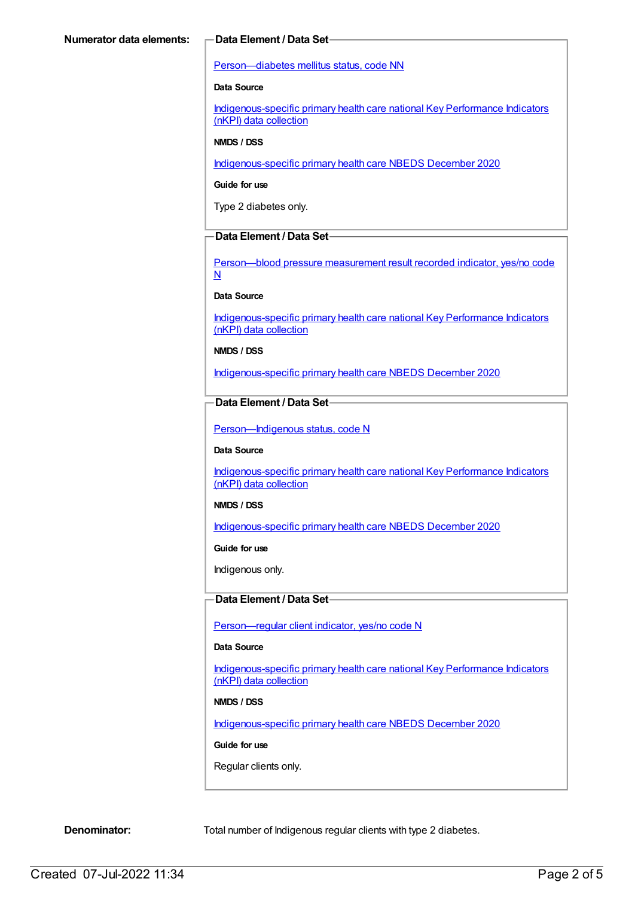#### [Person—diabetes](https://meteor.aihw.gov.au/content/270194) mellitus status, code NN

#### **Data Source**

[Indigenous-specific](https://meteor.aihw.gov.au/content/737914) primary health care national Key Performance Indicators (nKPI) data collection

#### **NMDS / DSS**

[Indigenous-specific](https://meteor.aihw.gov.au/content/738532) primary health care NBEDS December 2020

#### **Guide for use**

Type 2 diabetes only.

### **Data Element / Data Set**

[Person—blood](https://meteor.aihw.gov.au/content/441407) pressure measurement result recorded indicator, yes/no code N

#### **Data Source**

[Indigenous-specific](https://meteor.aihw.gov.au/content/737914) primary health care national Key Performance Indicators (nKPI) data collection

#### **NMDS / DSS**

[Indigenous-specific](https://meteor.aihw.gov.au/content/738532) primary health care NBEDS December 2020

#### **Data Element / Data Set**

Person-Indigenous status, code N

#### **Data Source**

[Indigenous-specific](https://meteor.aihw.gov.au/content/737914) primary health care national Key Performance Indicators (nKPI) data collection

#### **NMDS / DSS**

[Indigenous-specific](https://meteor.aihw.gov.au/content/738532) primary health care NBEDS December 2020

#### **Guide for use**

Indigenous only.

#### **Data Element / Data Set**

[Person—regular](https://meteor.aihw.gov.au/content/686291) client indicator, yes/no code N

#### **Data Source**

[Indigenous-specific](https://meteor.aihw.gov.au/content/737914) primary health care national Key Performance Indicators (nKPI) data collection

#### **NMDS / DSS**

[Indigenous-specific](https://meteor.aihw.gov.au/content/738532) primary health care NBEDS December 2020

#### **Guide for use**

Regular clients only.

**Denominator:** Total number of Indigenous regular clients with type 2 diabetes.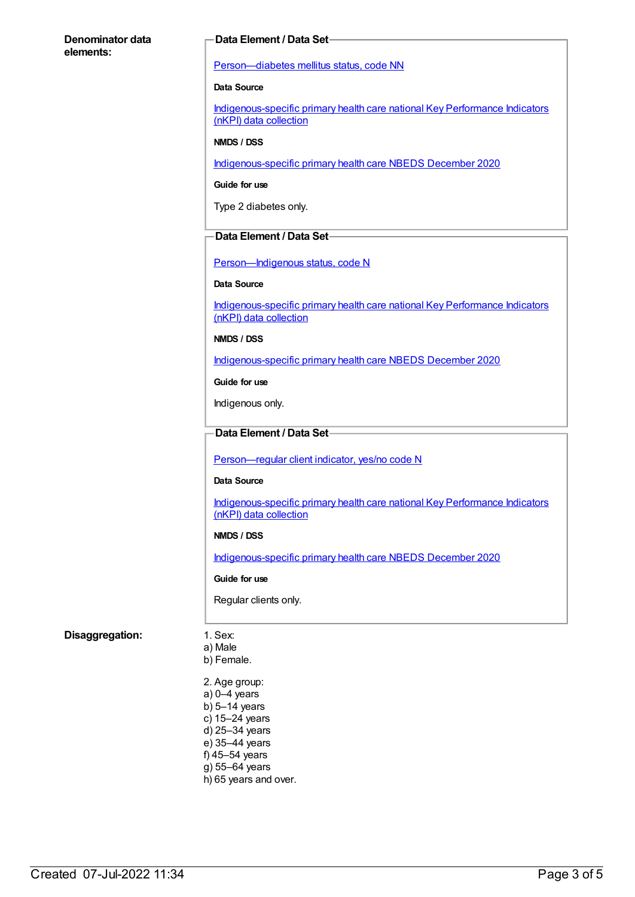#### **Denominator data elements:**

#### **Data Element / Data Set**

[Person—diabetes](https://meteor.aihw.gov.au/content/270194) mellitus status, code NN

#### **Data Source**

[Indigenous-specific](https://meteor.aihw.gov.au/content/737914) primary health care national Key Performance Indicators (nKPI) data collection

#### **NMDS / DSS**

[Indigenous-specific](https://meteor.aihw.gov.au/content/738532) primary health care NBEDS December 2020

**Guide for use**

Type 2 diabetes only.

#### **Data Element / Data Set**

Person-Indigenous status, code N

#### **Data Source**

[Indigenous-specific](https://meteor.aihw.gov.au/content/737914) primary health care national Key Performance Indicators (nKPI) data collection

#### **NMDS / DSS**

[Indigenous-specific](https://meteor.aihw.gov.au/content/738532) primary health care NBEDS December 2020

**Guide for use**

Indigenous only.

#### **Data Element / Data Set**

[Person—regular](https://meteor.aihw.gov.au/content/686291) client indicator, yes/no code N

#### **Data Source**

[Indigenous-specific](https://meteor.aihw.gov.au/content/737914) primary health care national Key Performance Indicators (nKPI) data collection

#### **NMDS / DSS**

[Indigenous-specific](https://meteor.aihw.gov.au/content/738532) primary health care NBEDS December 2020

#### **Guide for use**

Regular clients only.

#### **Disaggregation:** 1. Sex:

- a) Male b) Female.
- 2. Age group: a) 0–4 years b) 5–14 years c) 15–24 years d) 25–34 years
- e) 35–44 years
- f) 45–54 years
- g) 55–64 years
- h) 65 years and over.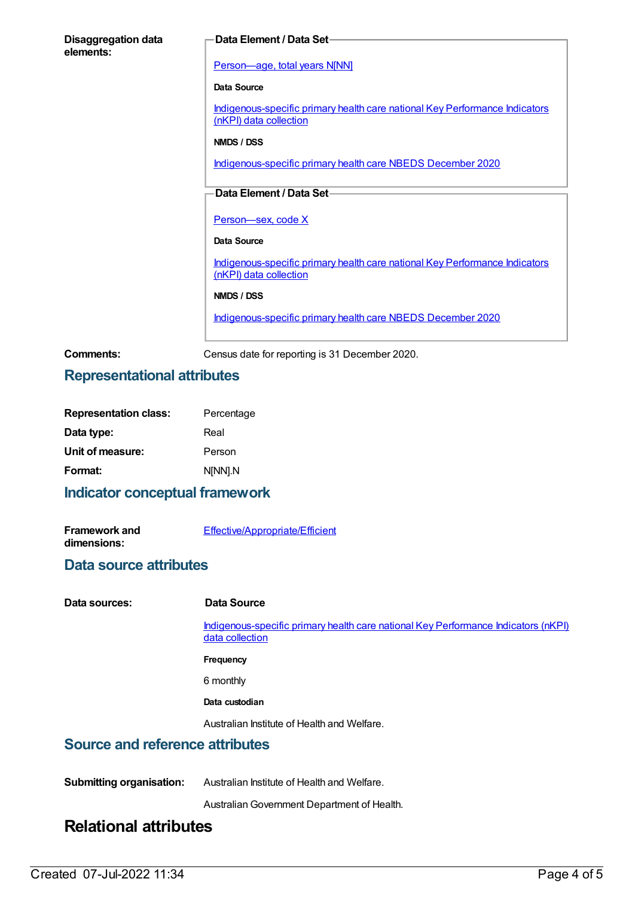| <b>Disaggregation data</b><br>elements: | Data Element / Data Set-                                                                              |  |
|-----------------------------------------|-------------------------------------------------------------------------------------------------------|--|
|                                         |                                                                                                       |  |
|                                         | Person-age, total years N[NN]                                                                         |  |
|                                         | Data Source                                                                                           |  |
|                                         | Indigenous-specific primary health care national Key Performance Indicators<br>(nKPI) data collection |  |
|                                         | NMDS / DSS                                                                                            |  |
|                                         | Indigenous-specific primary health care NBEDS December 2020                                           |  |
|                                         |                                                                                                       |  |
|                                         | Data Element / Data Set-                                                                              |  |
|                                         | Person-sex, code X                                                                                    |  |
|                                         | Data Source                                                                                           |  |
|                                         | Indigenous-specific primary health care national Key Performance Indicators<br>(nKPI) data collection |  |
|                                         | NMDS / DSS                                                                                            |  |
|                                         | Indigenous-specific primary health care NBEDS December 2020                                           |  |
|                                         |                                                                                                       |  |

**Comments:** Census date for reporting is 31 December 2020.

## **Representational attributes**

| <b>Representation class:</b> | Percentage |  |
|------------------------------|------------|--|
| Data type:                   | Real       |  |
| Unit of measure:             | Person     |  |
| Format:                      | NINNI.N    |  |

# **Indicator conceptual framework**

| <b>Framework and</b> | Effective/Appropriate/Efficient |
|----------------------|---------------------------------|
| dimensions:          |                                 |

## **Data source attributes**

| Data sources:                          | Data Source                                                                                           |  |
|----------------------------------------|-------------------------------------------------------------------------------------------------------|--|
|                                        | Indigenous-specific primary health care national Key Performance Indicators (nKPI)<br>data collection |  |
|                                        | Frequency                                                                                             |  |
|                                        | 6 monthly                                                                                             |  |
|                                        | Data custodian                                                                                        |  |
|                                        | Australian Institute of Health and Welfare.                                                           |  |
| <b>Source and reference attributes</b> |                                                                                                       |  |
| <b>Submitting organisation:</b>        | Australian Institute of Health and Welfare.                                                           |  |

AustralianGovernment Department of Health.

# **Relational attributes**